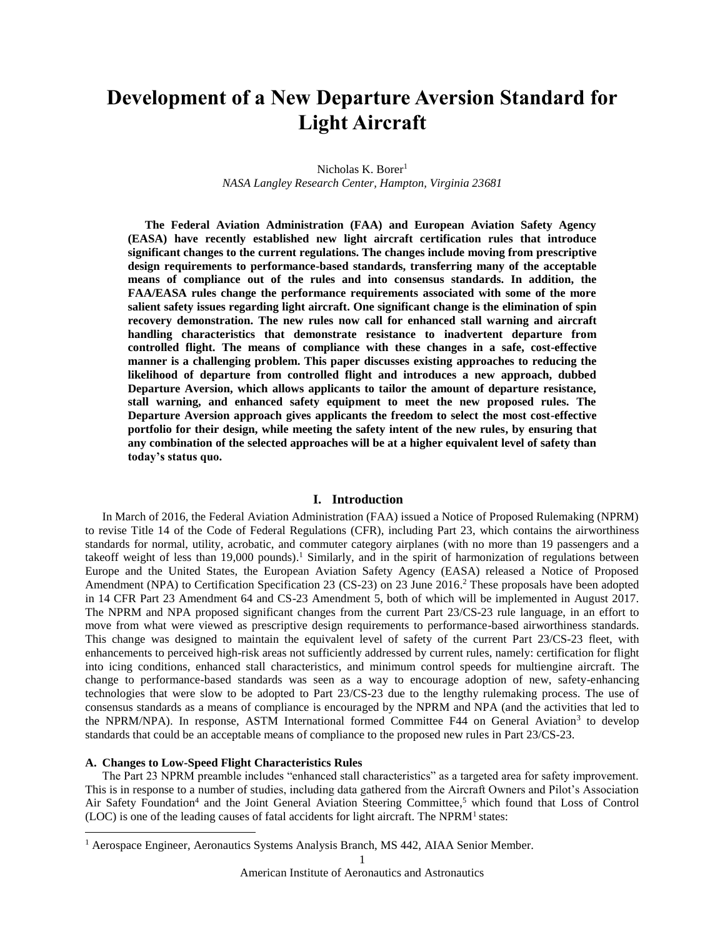# **Development of a New Departure Aversion Standard for Light Aircraft**

Nicholas K. Borer<sup>1</sup> *NASA Langley Research Center, Hampton, Virginia 23681*

**The Federal Aviation Administration (FAA) and European Aviation Safety Agency (EASA) have recently established new light aircraft certification rules that introduce significant changes to the current regulations. The changes include moving from prescriptive design requirements to performance-based standards, transferring many of the acceptable means of compliance out of the rules and into consensus standards. In addition, the FAA/EASA rules change the performance requirements associated with some of the more salient safety issues regarding light aircraft. One significant change is the elimination of spin recovery demonstration. The new rules now call for enhanced stall warning and aircraft handling characteristics that demonstrate resistance to inadvertent departure from controlled flight. The means of compliance with these changes in a safe, cost-effective manner is a challenging problem. This paper discusses existing approaches to reducing the likelihood of departure from controlled flight and introduces a new approach, dubbed Departure Aversion, which allows applicants to tailor the amount of departure resistance, stall warning, and enhanced safety equipment to meet the new proposed rules. The Departure Aversion approach gives applicants the freedom to select the most cost-effective portfolio for their design, while meeting the safety intent of the new rules, by ensuring that any combination of the selected approaches will be at a higher equivalent level of safety than today's status quo.**

#### **I. Introduction**

In March of 2016, the Federal Aviation Administration (FAA) issued a Notice of Proposed Rulemaking (NPRM) to revise Title 14 of the Code of Federal Regulations (CFR), including Part 23, which contains the airworthiness standards for normal, utility, acrobatic, and commuter category airplanes (with no more than 19 passengers and a takeoff weight of less than 19,000 pounds)[.](#page-15-0)<sup>1</sup> Similarly, and in the spirit of harmonization of regulations between Europe and the United States, the European Aviation Safety Agency (EASA) released a Notice of Proposed Amendment (NPA) to Certification Specification 23 (CS-23) on 23 June 2016. [2](#page-15-1) These proposals have been adopted in 14 CFR Part 23 Amendment 64 and CS-23 Amendment 5, both of which will be implemented in August 2017. The NPRM and NPA proposed significant changes from the current Part 23/CS-23 rule language, in an effort to move from what were viewed as prescriptive design requirements to performance-based airworthiness standards. This change was designed to maintain the equivalent level of safety of the current Part 23/CS-23 fleet, with enhancements to perceived high-risk areas not sufficiently addressed by current rules, namely: certification for flight into icing conditions, enhanced stall characteristics, and minimum control speeds for multiengine aircraft. The change to performance-based standards was seen as a way to encourage adoption of new, safety-enhancing technologies that were slow to be adopted to Part 23/CS-23 due to the lengthy rulemaking process. The use of consensus standards as a means of compliance is encouraged by the NPRM and NPA (and the activities that led to the NPRM/NPA). In response, ASTM International formed Committee F44 on General Aviation<sup>[3](#page-15-2)</sup> to develop standards that could be an acceptable means of compliance to the proposed new rules in Part 23/CS-23.

# **A. Changes to Low-Speed Flight Characteristics Rules**

l

The Part 23 NPRM preamble includes "enhanced stall characteristics" as a targeted area for safety improvement. This is in response to a number of studies, including data gathered from the Aircraft Owners and Pilot's Association Air Safety Foundation<sup>[4](#page-15-3)</sup> and the Joint General Aviation Steering Committee,<sup>[5](#page-15-4)</sup> which found that Loss of Control  $(LOC)$  is one of the leading causes of fatal accidents for light aircraft. The NPR[M](#page-15-0)<sup>1</sup> states:

<sup>&</sup>lt;sup>1</sup> Aerospace Engineer, Aeronautics Systems Analysis Branch, MS 442, AIAA Senior Member.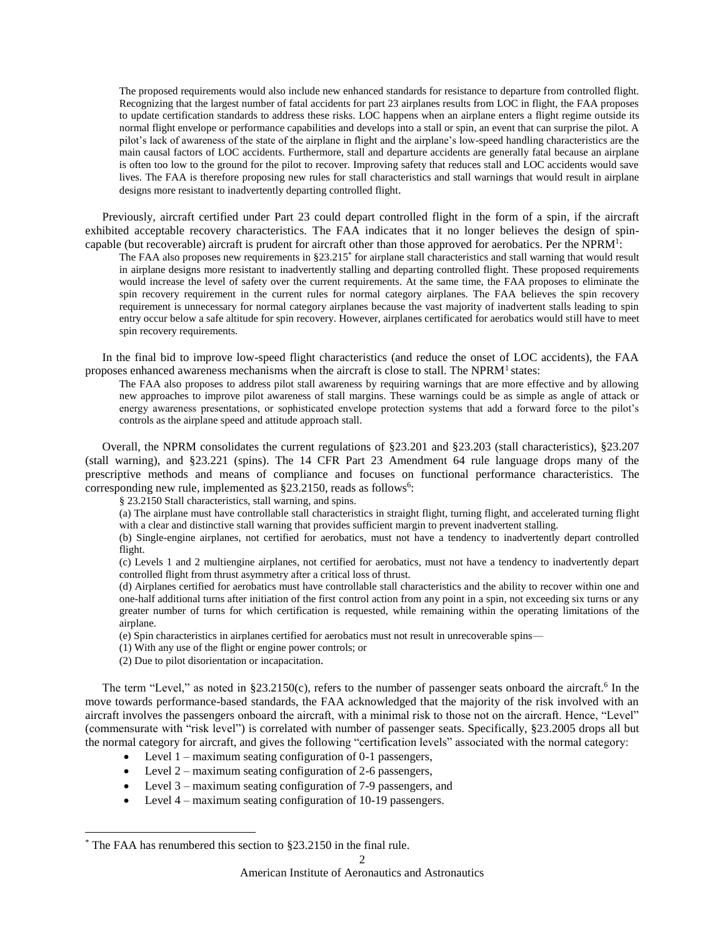The proposed requirements would also include new enhanced standards for resistance to departure from controlled flight. Recognizing that the largest number of fatal accidents for part 23 airplanes results from LOC in flight, the FAA proposes to update certification standards to address these risks. LOC happens when an airplane enters a flight regime outside its normal flight envelope or performance capabilities and develops into a stall or spin, an event that can surprise the pilot. A pilot's lack of awareness of the state of the airplane in flight and the airplane's low-speed handling characteristics are the main causal factors of LOC accidents. Furthermore, stall and departure accidents are generally fatal because an airplane is often too low to the ground for the pilot to recover. Improving safety that reduces stall and LOC accidents would save lives. The FAA is therefore proposing new rules for stall characteristics and stall warnings that would result in airplane designs more resistant to inadvertently departing controlled flight*.*

Previously, aircraft certified under Part 23 could depart controlled flight in the form of a spin, if the aircraft exhibited acceptable recovery characteristics. The FAA indicates that it no longer believes the design of spin-capable (but recoverable) aircraft is prudent for aircraft other than those approved for aerobatics. Per the NPRM<sup>[1](#page-15-0)</sup>:

The FAA also proposes new requirements in §23.215\* for airplane stall characteristics and stall warning that would result in airplane designs more resistant to inadvertently stalling and departing controlled flight. These proposed requirements would increase the level of safety over the current requirements. At the same time, the FAA proposes to eliminate the spin recovery requirement in the current rules for normal category airplanes. The FAA believes the spin recovery requirement is unnecessary for normal category airplanes because the vast majority of inadvertent stalls leading to spin entry occur below a safe altitude for spin recovery. However, airplanes certificated for aerobatics would still have to meet spin recovery requirements.

In the final bid to improve low-speed flight characteristics (and reduce the onset of LOC accidents), the FAA proposes enhanced awareness mechanisms when the aircraft is close to stall. The NPR[M](#page-15-0)<sup>1</sup> states:

The FAA also proposes to address pilot stall awareness by requiring warnings that are more effective and by allowing new approaches to improve pilot awareness of stall margins. These warnings could be as simple as angle of attack or energy awareness presentations, or sophisticated envelope protection systems that add a forward force to the pilot's controls as the airplane speed and attitude approach stall.

Overall, the NPRM consolidates the current regulations of §23.201 and §23.203 (stall characteristics), §23.207 (stall warning), and §23.221 (spins). The 14 CFR Part 23 Amendment 64 rule language drops many of the prescriptive methods and means of compliance and focuses on functional performance characteristics. The corresponding new rule, implemented as  $\S 23.2150$ , reads as follows<sup>[6](#page-15-5)</sup>:

§ 23.2150 Stall characteristics, stall warning, and spins.

(a) The airplane must have controllable stall characteristics in straight flight, turning flight, and accelerated turning flight with a clear and distinctive stall warning that provides sufficient margin to prevent inadvertent stalling.

(b) Single-engine airplanes, not certified for aerobatics, must not have a tendency to inadvertently depart controlled flight.

(c) Levels 1 and 2 multiengine airplanes, not certified for aerobatics, must not have a tendency to inadvertently depart controlled flight from thrust asymmetry after a critical loss of thrust.

(d) Airplanes certified for aerobatics must have controllable stall characteristics and the ability to recover within one and one-half additional turns after initiation of the first control action from any point in a spin, not exceeding six turns or any greater number of turns for which certification is requested, while remaining within the operating limitations of the airplane.

(e) Spin characteristics in airplanes certified for aerobatics must not result in unrecoverable spins—

- (1) With any use of the flight or engine power controls; or
- (2) Due to pilot disorientation or incapacitation*.*

The term "Level," as noted in  $§23.2150(c)$ , refers to the number of passenger seats onboard the aircraft.<sup>[6](#page-15-5)</sup> In the move towards performance-based standards, the FAA acknowledged that the majority of the risk involved with an aircraft involves the passengers onboard the aircraft, with a minimal risk to those not on the aircraft. Hence, "Level" (commensurate with "risk level") is correlated with number of passenger seats. Specifically, §23.2005 drops all but the normal category for aircraft, and gives the following "certification levels" associated with the normal category:

- $\bullet$  Level 1 maximum seating configuration of 0-1 passengers,
- $\bullet$  Level 2 maximum seating configuration of 2-6 passengers,
- Level 3 maximum seating configuration of 7-9 passengers, and
- Level 4 maximum seating configuration of 10-19 passengers.

l

<sup>\*</sup> The FAA has renumbered this section to §23.2150 in the final rule.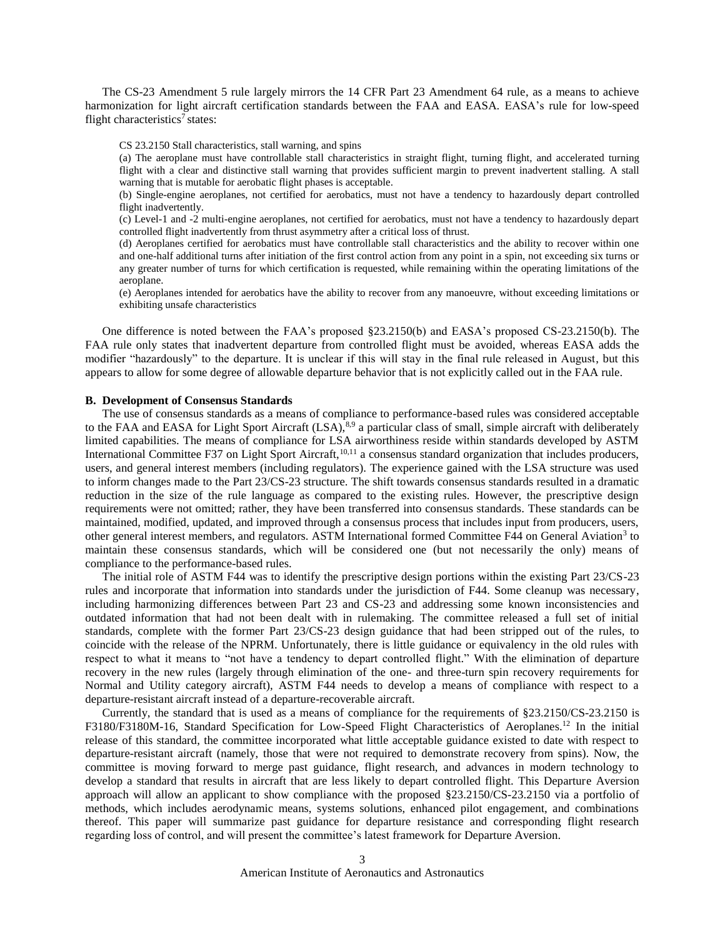The CS-23 Amendment 5 rule largely mirrors the 14 CFR Part 23 Amendment 64 rule, as a means to achieve harmonization for light aircraft certification standards between the FAA and EASA. EASA's rule for low-speed flight characteri[s](#page-15-6)tics<sup>7</sup> states:

CS 23.2150 Stall characteristics, stall warning, and spins

(a) The aeroplane must have controllable stall characteristics in straight flight, turning flight, and accelerated turning flight with a clear and distinctive stall warning that provides sufficient margin to prevent inadvertent stalling. A stall warning that is mutable for aerobatic flight phases is acceptable.

(b) Single-engine aeroplanes, not certified for aerobatics, must not have a tendency to hazardously depart controlled flight inadvertently.

(c) Level-1 and -2 multi-engine aeroplanes, not certified for aerobatics, must not have a tendency to hazardously depart controlled flight inadvertently from thrust asymmetry after a critical loss of thrust.

(d) Aeroplanes certified for aerobatics must have controllable stall characteristics and the ability to recover within one and one-half additional turns after initiation of the first control action from any point in a spin, not exceeding six turns or any greater number of turns for which certification is requested, while remaining within the operating limitations of the aeroplane.

(e) Aeroplanes intended for aerobatics have the ability to recover from any manoeuvre, without exceeding limitations or exhibiting unsafe characteristics

One difference is noted between the FAA's proposed §23.2150(b) and EASA's proposed CS-23.2150(b). The FAA rule only states that inadvertent departure from controlled flight must be avoided, whereas EASA adds the modifier "hazardously" to the departure. It is unclear if this will stay in the final rule released in August, but this appears to allow for some degree of allowable departure behavior that is not explicitly called out in the FAA rule.

#### **B. Development of Consensus Standards**

The use of consensus standards as a means of compliance to performance-based rules was considered acceptable to the FAA and EASA for Light Sport Aircraft  $(LSA)$ ,  $8.9$  $8.9$  a particular class of small, simple aircraft with deliberately limited capabilities. The means of compliance for LSA airworthiness reside within standards developed by ASTM International Committee F37 on Light Sport Aircraft,<sup>[10,](#page-15-9)[11](#page-15-10)</sup> a consensus standard organization that includes producers, users, and general interest members (including regulators). The experience gained with the LSA structure was used to inform changes made to the Part 23/CS-23 structure. The shift towards consensus standards resulted in a dramatic reduction in the size of the rule language as compared to the existing rules. However, the prescriptive design requirements were not omitted; rather, they have been transferred into consensus standards. These standards can be maintained, modified, updated, and improved through a consensus process that includes input from producers, users, other general interest members, and regulators. ASTM International formed Committee F44 on General Aviation<sup>[3](#page-15-2)</sup> to maintain these consensus standards, which will be considered one (but not necessarily the only) means of compliance to the performance-based rules.

The initial role of ASTM F44 was to identify the prescriptive design portions within the existing Part 23/CS-23 rules and incorporate that information into standards under the jurisdiction of F44. Some cleanup was necessary, including harmonizing differences between Part 23 and CS-23 and addressing some known inconsistencies and outdated information that had not been dealt with in rulemaking. The committee released a full set of initial standards, complete with the former Part 23/CS-23 design guidance that had been stripped out of the rules, to coincide with the release of the NPRM. Unfortunately, there is little guidance or equivalency in the old rules with respect to what it means to "not have a tendency to depart controlled flight." With the elimination of departure recovery in the new rules (largely through elimination of the one- and three-turn spin recovery requirements for Normal and Utility category aircraft), ASTM F44 needs to develop a means of compliance with respect to a departure-resistant aircraft instead of a departure-recoverable aircraft.

Currently, the standard that is used as a means of compliance for the requirements of §23.2150/CS-23.2150 is F3180/F3180M-16, Standard Specification for Low-Speed Flight Characteristics of Aeroplanes.<sup>[12](#page-15-11)</sup> In the initial release of this standard, the committee incorporated what little acceptable guidance existed to date with respect to departure-resistant aircraft (namely, those that were not required to demonstrate recovery from spins). Now, the committee is moving forward to merge past guidance, flight research, and advances in modern technology to develop a standard that results in aircraft that are less likely to depart controlled flight. This Departure Aversion approach will allow an applicant to show compliance with the proposed §23.2150/CS-23.2150 via a portfolio of methods, which includes aerodynamic means, systems solutions, enhanced pilot engagement, and combinations thereof. This paper will summarize past guidance for departure resistance and corresponding flight research regarding loss of control, and will present the committee's latest framework for Departure Aversion.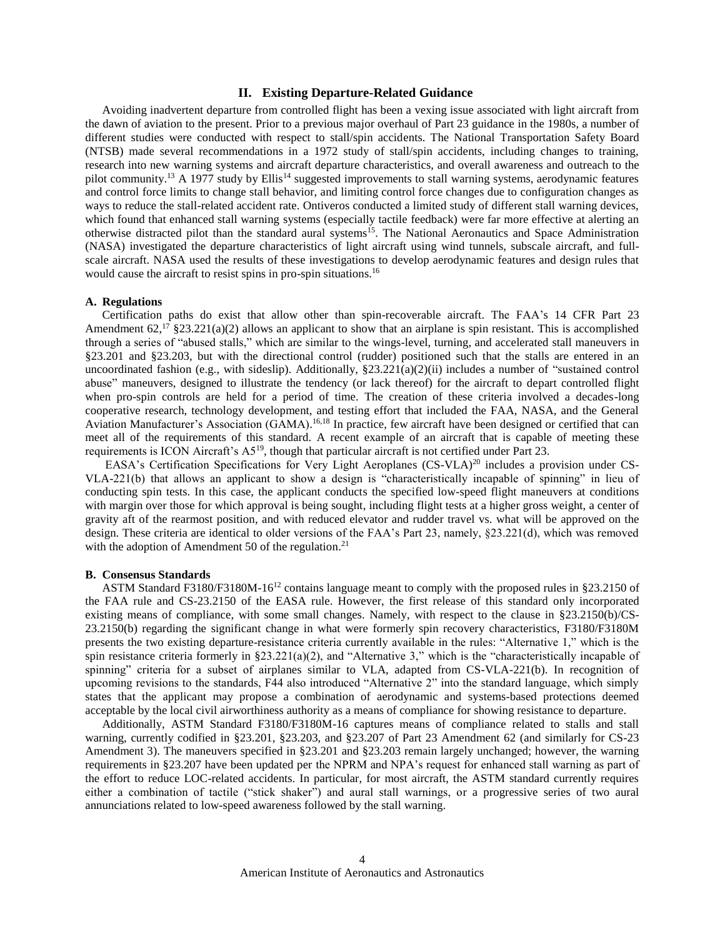#### **II. Existing Departure-Related Guidance**

Avoiding inadvertent departure from controlled flight has been a vexing issue associated with light aircraft from the dawn of aviation to the present. Prior to a previous major overhaul of Part 23 guidance in the 1980s, a number of different studies were conducted with respect to stall/spin accidents. The National Transportation Safety Board (NTSB) made several recommendations in a 1972 study of stall/spin accidents, including changes to training, research into new warning systems and aircraft departure characteristics, and overall awareness and outreach to the pilot community.<sup>[13](#page-15-12)</sup> A 1977 study by Ellis<sup>[14](#page-15-13)</sup> suggested improvements to stall warning systems, aerodynamic features and control force limits to change stall behavior, and limiting control force changes due to configuration changes as ways to reduce the stall-related accident rate. Ontiveros conducted a limited study of different stall warning devices, which found that enhanced stall warning systems (especially tactile feedback) were far more effective at alerting an otherwise distracted pilot than the standard aural systems<sup>[15](#page-15-14)</sup>. The National Aeronautics and Space Administration (NASA) investigated the departure characteristics of light aircraft using wind tunnels, subscale aircraft, and fullscale aircraft. NASA used the results of these investigations to develop aerodynamic features and design rules that would cause the aircraft to resist spins in pro-spin situations. [16](#page-15-15)

#### **A. Regulations**

Certification paths do exist that allow other than spin-recoverable aircraft. The FAA's 14 CFR Part 23 Amendment  $62$ ,<sup>[17](#page-15-16)</sup> §23.221(a)(2) allows an applicant to show that an airplane is spin resistant. This is accomplished through a series of "abused stalls," which are similar to the wings-level, turning, and accelerated stall maneuvers in §23.201 and §23.203, but with the directional control (rudder) positioned such that the stalls are entered in an uncoordinated fashion (e.g., with sideslip). Additionally, §23.221(a)(2)(ii) includes a number of "sustained control abuse" maneuvers, designed to illustrate the tendency (or lack thereof) for the aircraft to depart controlled flight when pro-spin controls are held for a period of time. The creation of these criteria involved a decades-long cooperative research, technology development, and testing effort that included the FAA, NASA, and the General Aviation Manufacturer's Association (GAMA).<sup>[16,](#page-15-15)[18](#page-15-17)</sup> In practice, few aircraft have been designed or certified that can meet all of the requirements of this standard. A recent example of an aircraft that is capable of meeting these requirements is ICON Aircraft's A5[19](#page-15-18), though that particular aircraft is not certified under Part 23.

EASA's Certification Specifications for Very Light Aeroplanes (CS-VLA)<sup>[20](#page-15-19)</sup> includes a provision under CS-VLA-221(b) that allows an applicant to show a design is "characteristically incapable of spinning" in lieu of conducting spin tests. In this case, the applicant conducts the specified low-speed flight maneuvers at conditions with margin over those for which approval is being sought, including flight tests at a higher gross weight, a center of gravity aft of the rearmost position, and with reduced elevator and rudder travel vs. what will be approved on the design. These criteria are identical to older versions of the FAA's Part 23, namely, §23.221(d), which was removed with the adoption of Amendment 50 of the regulation. $21$ 

#### **B. Consensus Standards**

ASTM Standard F3180/F3180M-16[12](#page-15-11) contains language meant to comply with the proposed rules in §23.2150 of the FAA rule and CS-23.2150 of the EASA rule. However, the first release of this standard only incorporated existing means of compliance, with some small changes. Namely, with respect to the clause in §23.2150(b)/CS-23.2150(b) regarding the significant change in what were formerly spin recovery characteristics, F3180/F3180M presents the two existing departure-resistance criteria currently available in the rules: "Alternative 1," which is the spin resistance criteria formerly in §23.221(a)(2), and "Alternative 3," which is the "characteristically incapable of spinning" criteria for a subset of airplanes similar to VLA, adapted from CS-VLA-221(b). In recognition of upcoming revisions to the standards, F44 also introduced "Alternative 2" into the standard language, which simply states that the applicant may propose a combination of aerodynamic and systems-based protections deemed acceptable by the local civil airworthiness authority as a means of compliance for showing resistance to departure.

Additionally, ASTM Standard F3180/F3180M-16 captures means of compliance related to stalls and stall warning, currently codified in §23.201, §23.203, and §23.207 of Part 23 Amendment 62 (and similarly for CS-23 Amendment 3). The maneuvers specified in §23.201 and §23.203 remain largely unchanged; however, the warning requirements in §23.207 have been updated per the NPRM and NPA's request for enhanced stall warning as part of the effort to reduce LOC-related accidents. In particular, for most aircraft, the ASTM standard currently requires either a combination of tactile ("stick shaker") and aural stall warnings, or a progressive series of two aural annunciations related to low-speed awareness followed by the stall warning.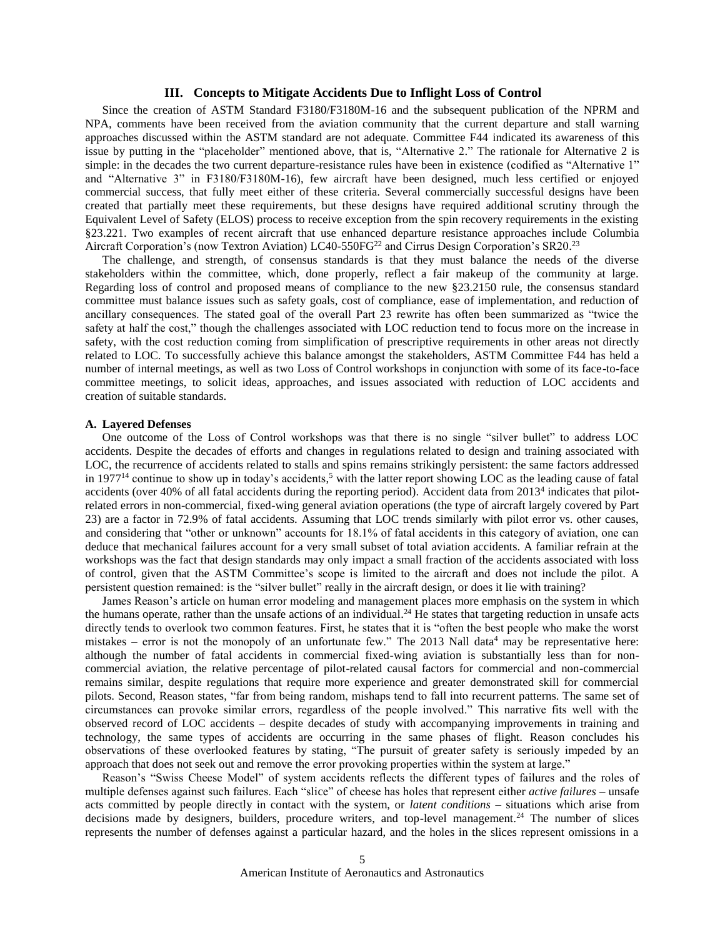#### **III. Concepts to Mitigate Accidents Due to Inflight Loss of Control**

Since the creation of ASTM Standard F3180/F3180M-16 and the subsequent publication of the NPRM and NPA, comments have been received from the aviation community that the current departure and stall warning approaches discussed within the ASTM standard are not adequate. Committee F44 indicated its awareness of this issue by putting in the "placeholder" mentioned above, that is, "Alternative 2." The rationale for Alternative 2 is simple: in the decades the two current departure-resistance rules have been in existence (codified as "Alternative 1" and "Alternative 3" in F3180/F3180M-16), few aircraft have been designed, much less certified or enjoyed commercial success, that fully meet either of these criteria. Several commercially successful designs have been created that partially meet these requirements, but these designs have required additional scrutiny through the Equivalent Level of Safety (ELOS) process to receive exception from the spin recovery requirements in the existing §23.221. Two examples of recent aircraft that use enhanced departure resistance approaches include Columbia Aircraft Corporation's (now Textron Aviation) LC40-550FG<sup>[22](#page-15-21)</sup> and Cirrus Design Corporation's SR20.<sup>[23](#page-15-22)</sup>

The challenge, and strength, of consensus standards is that they must balance the needs of the diverse stakeholders within the committee, which, done properly, reflect a fair makeup of the community at large. Regarding loss of control and proposed means of compliance to the new §23.2150 rule, the consensus standard committee must balance issues such as safety goals, cost of compliance, ease of implementation, and reduction of ancillary consequences. The stated goal of the overall Part 23 rewrite has often been summarized as "twice the safety at half the cost," though the challenges associated with LOC reduction tend to focus more on the increase in safety, with the cost reduction coming from simplification of prescriptive requirements in other areas not directly related to LOC. To successfully achieve this balance amongst the stakeholders, ASTM Committee F44 has held a number of internal meetings, as well as two Loss of Control workshops in conjunction with some of its face-to-face committee meetings, to solicit ideas, approaches, and issues associated with reduction of LOC accidents and creation of suitable standards.

#### **A. Layered Defenses**

One outcome of the Loss of Control workshops was that there is no single "silver bullet" to address LOC accidents. Despite the decades of efforts and changes in regulations related to design and training associated with LOC, the recurrence of accidents related to stalls and spins remains strikingly persistent: the same factors addressed in 1977<sup>[14](#page-15-13)</sup> continue to show up in today's accidents,<sup>[5](#page-15-23)</sup> with the latter report showing LOC as the leading cause of fatal accidents (over [4](#page-15-3)0% of all fatal accidents during the reporting period). Accident data from 2013<sup>4</sup> indicates that pilotrelated errors in non-commercial, fixed-wing general aviation operations (the type of aircraft largely covered by Part 23) are a factor in 72.9% of fatal accidents. Assuming that LOC trends similarly with pilot error vs. other causes, and considering that "other or unknown" accounts for 18.1% of fatal accidents in this category of aviation, one can deduce that mechanical failures account for a very small subset of total aviation accidents. A familiar refrain at the workshops was the fact that design standards may only impact a small fraction of the accidents associated with loss of control, given that the ASTM Committee's scope is limited to the aircraft and does not include the pilot. A persistent question remained: is the "silver bullet" really in the aircraft design, or does it lie with training?

James Reason's article on human error modeling and management places more emphasis on the system in which the humans operate, rather than the unsafe actions of an individual.<sup>[24](#page-15-24)</sup> He states that targeting reduction in unsafe acts directly tends to overlook two common features. First, he states that it is "often the best people who make the worst mist[a](#page-15-3)kes – error is not the monopoly of an unfortunate few." The 2013 Nall data<sup>4</sup> may be representative here: although the number of fatal accidents in commercial fixed-wing aviation is substantially less than for noncommercial aviation, the relative percentage of pilot-related causal factors for commercial and non-commercial remains similar, despite regulations that require more experience and greater demonstrated skill for commercial pilots. Second, Reason states, "far from being random, mishaps tend to fall into recurrent patterns. The same set of circumstances can provoke similar errors, regardless of the people involved." This narrative fits well with the observed record of LOC accidents – despite decades of study with accompanying improvements in training and technology, the same types of accidents are occurring in the same phases of flight. Reason concludes his observations of these overlooked features by stating, "The pursuit of greater safety is seriously impeded by an approach that does not seek out and remove the error provoking properties within the system at large."

Reason's "Swiss Cheese Model" of system accidents reflects the different types of failures and the roles of multiple defenses against such failures. Each "slice" of cheese has holes that represent either *active failures* – unsafe acts committed by people directly in contact with the system, or *latent conditions* – situations which arise from decisions made by designers, builders, procedure writers, and top-level management.<sup>[24](#page-15-24)</sup> The number of slices represents the number of defenses against a particular hazard, and the holes in the slices represent omissions in a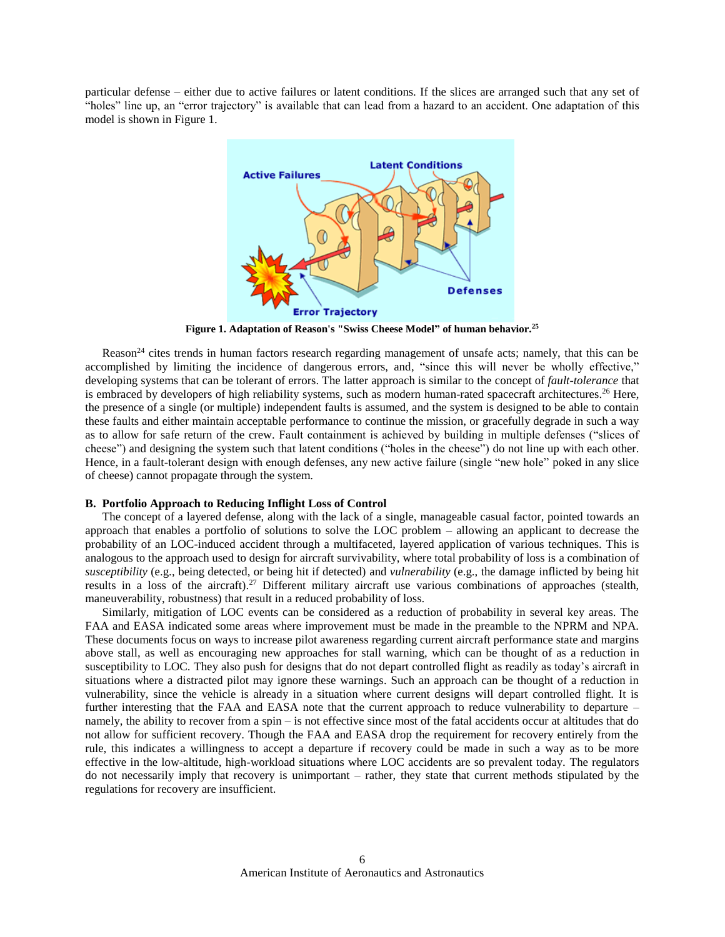particular defense – either due to active failures or latent conditions. If the slices are arranged such that any set of "holes" line up, an "error trajectory" is available that can lead from a hazard to an accident. One adaptation of this model is shown in [Figure 1.](#page-5-0)



**Figure 1. Adaptation of Reason's "Swiss Cheese Model" of human behavior. [25](#page-15-25)**

<span id="page-5-0"></span>Reason<sup>[24](#page-15-24)</sup> cites trends in human factors research regarding management of unsafe acts; namely, that this can be accomplished by limiting the incidence of dangerous errors, and, "since this will never be wholly effective," developing systems that can be tolerant of errors. The latter approach is similar to the concept of *fault-tolerance* that is embraced by developers of high reliability systems, such as modern human-rated spacecraft architectures.<sup>[26](#page-16-0)</sup> Here, the presence of a single (or multiple) independent faults is assumed, and the system is designed to be able to contain these faults and either maintain acceptable performance to continue the mission, or gracefully degrade in such a way as to allow for safe return of the crew. Fault containment is achieved by building in multiple defenses ("slices of cheese") and designing the system such that latent conditions ("holes in the cheese") do not line up with each other. Hence, in a fault-tolerant design with enough defenses, any new active failure (single "new hole" poked in any slice of cheese) cannot propagate through the system.

## **B. Portfolio Approach to Reducing Inflight Loss of Control**

The concept of a layered defense, along with the lack of a single, manageable casual factor, pointed towards an approach that enables a portfolio of solutions to solve the LOC problem – allowing an applicant to decrease the probability of an LOC-induced accident through a multifaceted, layered application of various techniques. This is analogous to the approach used to design for aircraft survivability, where total probability of loss is a combination of *susceptibility* (e.g., being detected, or being hit if detected) and *vulnerability* (e.g., the damage inflicted by being hit results in a loss of the aircraft).<sup>[27](#page-16-1)</sup> Different military aircraft use various combinations of approaches (stealth, maneuverability, robustness) that result in a reduced probability of loss.

Similarly, mitigation of LOC events can be considered as a reduction of probability in several key areas. The FAA and EASA indicated some areas where improvement must be made in the preamble to the NPRM and NPA. These documents focus on ways to increase pilot awareness regarding current aircraft performance state and margins above stall, as well as encouraging new approaches for stall warning, which can be thought of as a reduction in susceptibility to LOC. They also push for designs that do not depart controlled flight as readily as today's aircraft in situations where a distracted pilot may ignore these warnings. Such an approach can be thought of a reduction in vulnerability, since the vehicle is already in a situation where current designs will depart controlled flight. It is further interesting that the FAA and EASA note that the current approach to reduce vulnerability to departure – namely, the ability to recover from a spin – is not effective since most of the fatal accidents occur at altitudes that do not allow for sufficient recovery. Though the FAA and EASA drop the requirement for recovery entirely from the rule, this indicates a willingness to accept a departure if recovery could be made in such a way as to be more effective in the low-altitude, high-workload situations where LOC accidents are so prevalent today. The regulators do not necessarily imply that recovery is unimportant – rather, they state that current methods stipulated by the regulations for recovery are insufficient.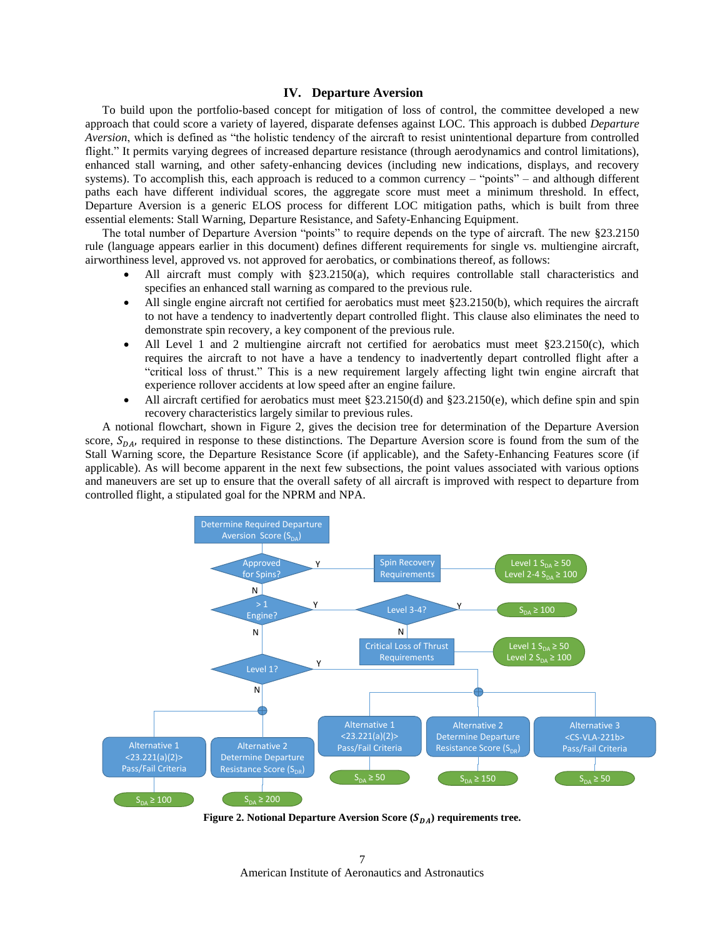#### **IV. Departure Aversion**

To build upon the portfolio-based concept for mitigation of loss of control, the committee developed a new approach that could score a variety of layered, disparate defenses against LOC. This approach is dubbed *Departure Aversion*, which is defined as "the holistic tendency of the aircraft to resist unintentional departure from controlled flight." It permits varying degrees of increased departure resistance (through aerodynamics and control limitations), enhanced stall warning, and other safety-enhancing devices (including new indications, displays, and recovery systems). To accomplish this, each approach is reduced to a common currency – "points" – and although different paths each have different individual scores, the aggregate score must meet a minimum threshold. In effect, Departure Aversion is a generic ELOS process for different LOC mitigation paths, which is built from three essential elements: Stall Warning, Departure Resistance, and Safety-Enhancing Equipment.

The total number of Departure Aversion "points" to require depends on the type of aircraft. The new §23.2150 rule (language appears earlier in this document) defines different requirements for single vs. multiengine aircraft, airworthiness level, approved vs. not approved for aerobatics, or combinations thereof, as follows:

- All aircraft must comply with §23.2150(a), which requires controllable stall characteristics and specifies an enhanced stall warning as compared to the previous rule.
- All single engine aircraft not certified for aerobatics must meet §23.2150(b), which requires the aircraft to not have a tendency to inadvertently depart controlled flight. This clause also eliminates the need to demonstrate spin recovery, a key component of the previous rule.
- All Level 1 and 2 multiengine aircraft not certified for aerobatics must meet §23.2150(c), which requires the aircraft to not have a have a tendency to inadvertently depart controlled flight after a "critical loss of thrust." This is a new requirement largely affecting light twin engine aircraft that experience rollover accidents at low speed after an engine failure.
- All aircraft certified for aerobatics must meet §23.2150(d) and §23.2150(e), which define spin and spin recovery characteristics largely similar to previous rules.

A notional flowchart, shown in [Figure 2,](#page-6-0) gives the decision tree for determination of the Departure Aversion score,  $S_{DA}$ , required in response to these distinctions. The Departure Aversion score is found from the sum of the Stall Warning score, the Departure Resistance Score (if applicable), and the Safety-Enhancing Features score (if applicable). As will become apparent in the next few subsections, the point values associated with various options and maneuvers are set up to ensure that the overall safety of all aircraft is improved with respect to departure from controlled flight, a stipulated goal for the NPRM and NPA.



<span id="page-6-0"></span>**Figure 2. Notional Departure Aversion Score (** $S_{DA}$ **) requirements tree.** 

American Institute of Aeronautics and Astronautics 7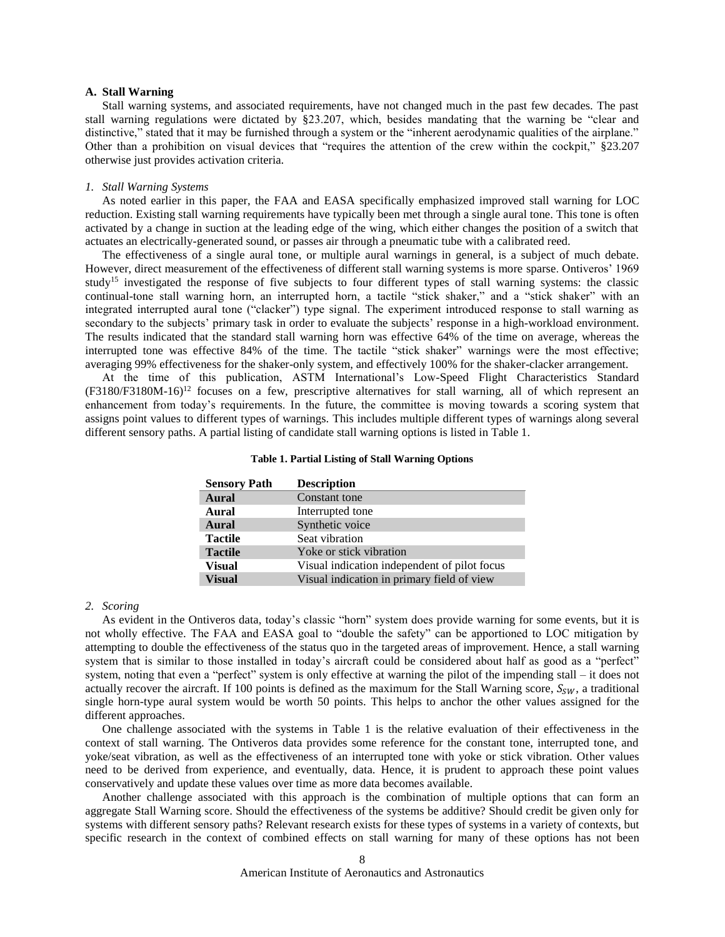#### **A. Stall Warning**

Stall warning systems, and associated requirements, have not changed much in the past few decades. The past stall warning regulations were dictated by §23.207, which, besides mandating that the warning be "clear and distinctive," stated that it may be furnished through a system or the "inherent aerodynamic qualities of the airplane." Other than a prohibition on visual devices that "requires the attention of the crew within the cockpit," §23.207 otherwise just provides activation criteria.

#### *1. Stall Warning Systems*

As noted earlier in this paper, the FAA and EASA specifically emphasized improved stall warning for LOC reduction. Existing stall warning requirements have typically been met through a single aural tone. This tone is often activated by a change in suction at the leading edge of the wing, which either changes the position of a switch that actuates an electrically-generated sound, or passes air through a pneumatic tube with a calibrated reed.

The effectiveness of a single aural tone, or multiple aural warnings in general, is a subject of much debate. However, direct measurement of the effectiveness of different stall warning systems is more sparse. Ontiveros' 1969 study<sup>[15](#page-15-14)</sup> investigated the response of five subjects to four different types of stall warning systems: the classic continual-tone stall warning horn, an interrupted horn, a tactile "stick shaker," and a "stick shaker" with an integrated interrupted aural tone ("clacker") type signal. The experiment introduced response to stall warning as secondary to the subjects' primary task in order to evaluate the subjects' response in a high-workload environment. The results indicated that the standard stall warning horn was effective 64% of the time on average, whereas the interrupted tone was effective 84% of the time. The tactile "stick shaker" warnings were the most effective; averaging 99% effectiveness for the shaker-only system, and effectively 100% for the shaker-clacker arrangement.

<span id="page-7-0"></span>At the time of this publication, ASTM International's Low-Speed Flight Characteristics Standard  $(F3180/F3180M-16)^{12}$  $(F3180/F3180M-16)^{12}$  $(F3180/F3180M-16)^{12}$  focuses on a few, prescriptive alternatives for stall warning, all of which represent an enhancement from today's requirements. In the future, the committee is moving towards a scoring system that assigns point values to different types of warnings. This includes multiple different types of warnings along several different sensory paths. A partial listing of candidate stall warning options is listed in [Table 1.](#page-7-0)

| <b>Sensory Path</b> | <b>Description</b>                           |
|---------------------|----------------------------------------------|
| Aural               | Constant tone                                |
| Aural               | Interrupted tone                             |
| Aural               | Synthetic voice                              |
| <b>Tactile</b>      | Seat vibration                               |
| <b>Tactile</b>      | Yoke or stick vibration                      |
| <b>Visual</b>       | Visual indication independent of pilot focus |
| <b>Visual</b>       | Visual indication in primary field of view   |

#### **Table 1. Partial Listing of Stall Warning Options**

#### *2. Scoring*

As evident in the Ontiveros data, today's classic "horn" system does provide warning for some events, but it is not wholly effective. The FAA and EASA goal to "double the safety" can be apportioned to LOC mitigation by attempting to double the effectiveness of the status quo in the targeted areas of improvement. Hence, a stall warning system that is similar to those installed in today's aircraft could be considered about half as good as a "perfect" system, noting that even a "perfect" system is only effective at warning the pilot of the impending stall – it does not actually recover the aircraft. If 100 points is defined as the maximum for the Stall Warning score,  $S_{SW}$ , a traditional single horn-type aural system would be worth 50 points. This helps to anchor the other values assigned for the different approaches.

One challenge associated with the systems in [Table 1](#page-7-0) is the relative evaluation of their effectiveness in the context of stall warning. The Ontiveros data provides some reference for the constant tone, interrupted tone, and yoke/seat vibration, as well as the effectiveness of an interrupted tone with yoke or stick vibration. Other values need to be derived from experience, and eventually, data. Hence, it is prudent to approach these point values conservatively and update these values over time as more data becomes available.

Another challenge associated with this approach is the combination of multiple options that can form an aggregate Stall Warning score. Should the effectiveness of the systems be additive? Should credit be given only for systems with different sensory paths? Relevant research exists for these types of systems in a variety of contexts, but specific research in the context of combined effects on stall warning for many of these options has not been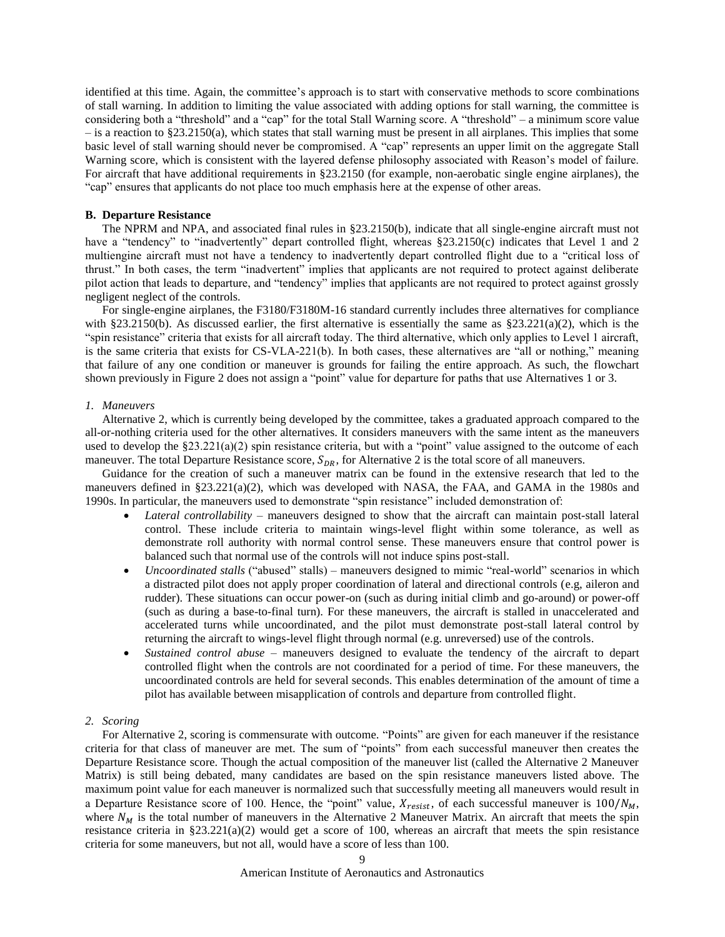identified at this time. Again, the committee's approach is to start with conservative methods to score combinations of stall warning. In addition to limiting the value associated with adding options for stall warning, the committee is considering both a "threshold" and a "cap" for the total Stall Warning score. A "threshold" – a minimum score value  $-$  is a reaction to §23.2150(a), which states that stall warning must be present in all airplanes. This implies that some basic level of stall warning should never be compromised. A "cap" represents an upper limit on the aggregate Stall Warning score, which is consistent with the layered defense philosophy associated with Reason's model of failure. For aircraft that have additional requirements in §23.2150 (for example, non-aerobatic single engine airplanes), the "cap" ensures that applicants do not place too much emphasis here at the expense of other areas.

## **B. Departure Resistance**

The NPRM and NPA, and associated final rules in §23.2150(b), indicate that all single-engine aircraft must not have a "tendency" to "inadvertently" depart controlled flight, whereas §23.2150(c) indicates that Level 1 and 2 multiengine aircraft must not have a tendency to inadvertently depart controlled flight due to a "critical loss of thrust." In both cases, the term "inadvertent" implies that applicants are not required to protect against deliberate pilot action that leads to departure, and "tendency" implies that applicants are not required to protect against grossly negligent neglect of the controls.

For single-engine airplanes, the F3180/F3180M-16 standard currently includes three alternatives for compliance with §23.2150(b). As discussed earlier, the first alternative is essentially the same as §23.221(a)(2), which is the "spin resistance" criteria that exists for all aircraft today. The third alternative, which only applies to Level 1 aircraft, is the same criteria that exists for CS-VLA-221(b). In both cases, these alternatives are "all or nothing," meaning that failure of any one condition or maneuver is grounds for failing the entire approach. As such, the flowchart shown previously i[n Figure 2](#page-6-0) does not assign a "point" value for departure for paths that use Alternatives 1 or 3.

#### *1. Maneuvers*

Alternative 2, which is currently being developed by the committee, takes a graduated approach compared to the all-or-nothing criteria used for the other alternatives. It considers maneuvers with the same intent as the maneuvers used to develop the  $\S 23.221(a)(2)$  spin resistance criteria, but with a "point" value assigned to the outcome of each maneuver. The total Departure Resistance score,  $S_{DR}$ , for Alternative 2 is the total score of all maneuvers.

Guidance for the creation of such a maneuver matrix can be found in the extensive research that led to the maneuvers defined in  $\S 23.221(a)(2)$ , which was developed with NASA, the FAA, and GAMA in the 1980s and 1990s. In particular, the maneuvers used to demonstrate "spin resistance" included demonstration of:

- *Lateral controllability* maneuvers designed to show that the aircraft can maintain post-stall lateral control. These include criteria to maintain wings-level flight within some tolerance, as well as demonstrate roll authority with normal control sense. These maneuvers ensure that control power is balanced such that normal use of the controls will not induce spins post-stall.
- *Uncoordinated stalls* ("abused" stalls) maneuvers designed to mimic "real-world" scenarios in which a distracted pilot does not apply proper coordination of lateral and directional controls (e.g, aileron and rudder). These situations can occur power-on (such as during initial climb and go-around) or power-off (such as during a base-to-final turn). For these maneuvers, the aircraft is stalled in unaccelerated and accelerated turns while uncoordinated, and the pilot must demonstrate post-stall lateral control by returning the aircraft to wings-level flight through normal (e.g. unreversed) use of the controls.
- *Sustained control abuse –* maneuvers designed to evaluate the tendency of the aircraft to depart controlled flight when the controls are not coordinated for a period of time. For these maneuvers, the uncoordinated controls are held for several seconds. This enables determination of the amount of time a pilot has available between misapplication of controls and departure from controlled flight.

# *2. Scoring*

For Alternative 2, scoring is commensurate with outcome. "Points" are given for each maneuver if the resistance criteria for that class of maneuver are met. The sum of "points" from each successful maneuver then creates the Departure Resistance score. Though the actual composition of the maneuver list (called the Alternative 2 Maneuver Matrix) is still being debated, many candidates are based on the spin resistance maneuvers listed above. The maximum point value for each maneuver is normalized such that successfully meeting all maneuvers would result in a Departure Resistance score of 100. Hence, the "point" value,  $X_{resist}$ , of each successful maneuver is 100/ $N_M$ , where  $N_M$  is the total number of maneuvers in the Alternative 2 Maneuver Matrix. An aircraft that meets the spin resistance criteria in  $\S 23.221(a)(2)$  would get a score of 100, whereas an aircraft that meets the spin resistance criteria for some maneuvers, but not all, would have a score of less than 100.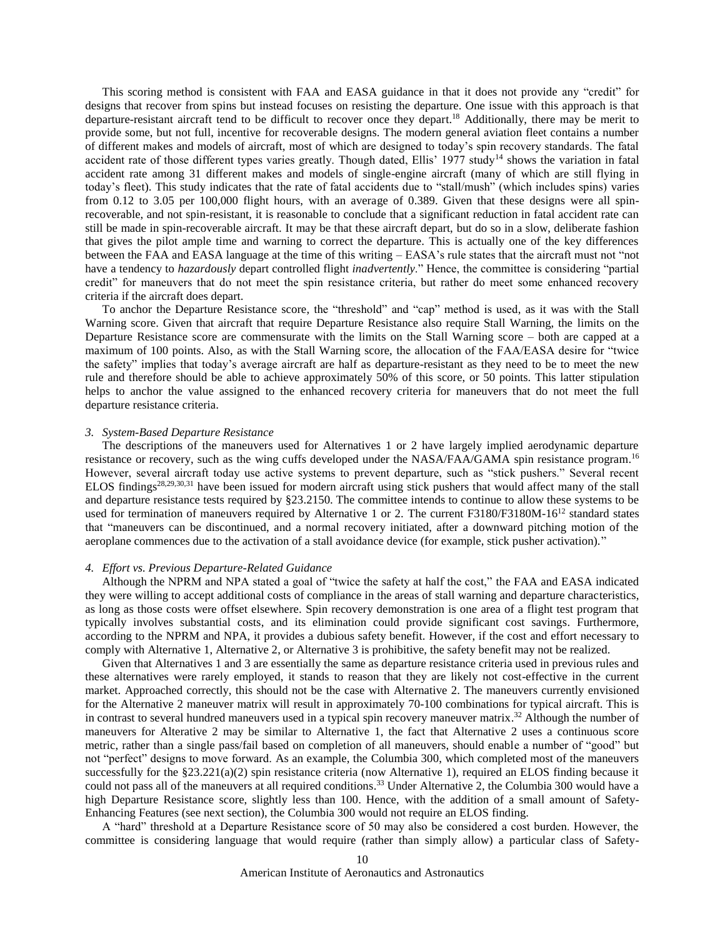This scoring method is consistent with FAA and EASA guidance in that it does not provide any "credit" for designs that recover from spins but instead focuses on resisting the departure. One issue with this approach is that departure-resistant aircraft tend to be difficult to recover once they depart.<sup>[18](#page-15-17)</sup> Additionally, there may be merit to provide some, but not full, incentive for recoverable designs. The modern general aviation fleet contains a number of different makes and models of aircraft, most of which are designed to today's spin recovery standards. The fatal accident rate of those different types varies greatly. Though dated, Ellis' 1977 study<sup>[14](#page-15-13)</sup> shows the variation in fatal accident rate among 31 different makes and models of single-engine aircraft (many of which are still flying in today's fleet). This study indicates that the rate of fatal accidents due to "stall/mush" (which includes spins) varies from 0.12 to 3.05 per 100,000 flight hours, with an average of 0.389. Given that these designs were all spinrecoverable, and not spin-resistant, it is reasonable to conclude that a significant reduction in fatal accident rate can still be made in spin-recoverable aircraft. It may be that these aircraft depart, but do so in a slow, deliberate fashion that gives the pilot ample time and warning to correct the departure. This is actually one of the key differences between the FAA and EASA language at the time of this writing – EASA's rule states that the aircraft must not "not have a tendency to *hazardously* depart controlled flight *inadvertently*." Hence, the committee is considering "partial credit" for maneuvers that do not meet the spin resistance criteria, but rather do meet some enhanced recovery criteria if the aircraft does depart.

To anchor the Departure Resistance score, the "threshold" and "cap" method is used, as it was with the Stall Warning score. Given that aircraft that require Departure Resistance also require Stall Warning, the limits on the Departure Resistance score are commensurate with the limits on the Stall Warning score – both are capped at a maximum of 100 points. Also, as with the Stall Warning score, the allocation of the FAA/EASA desire for "twice the safety" implies that today's average aircraft are half as departure-resistant as they need to be to meet the new rule and therefore should be able to achieve approximately 50% of this score, or 50 points. This latter stipulation helps to anchor the value assigned to the enhanced recovery criteria for maneuvers that do not meet the full departure resistance criteria.

#### *3. System-Based Departure Resistance*

The descriptions of the maneuvers used for Alternatives 1 or 2 have largely implied aerodynamic departure resistance or recovery, such as the wing cuffs developed under the NASA/FAA/GAMA spin resistance program.<sup>[16](#page-15-15)</sup> However, several aircraft today use active systems to prevent departure, such as "stick pushers." Several recent ELOS findings[28,](#page-16-2)[29,](#page-16-3)[30,](#page-16-4)[31](#page-16-5) have been issued for modern aircraft using stick pushers that would affect many of the stall and departure resistance tests required by §23.2150. The committee intends to continue to allow these systems to be used for termination of maneuvers required by Alternative 1 or 2. The current F3180/F3180M-16<sup>[12](#page-15-11)</sup> standard states that "maneuvers can be discontinued, and a normal recovery initiated, after a downward pitching motion of the aeroplane commences due to the activation of a stall avoidance device (for example, stick pusher activation)."

#### *4. Effort vs. Previous Departure-Related Guidance*

Although the NPRM and NPA stated a goal of "twice the safety at half the cost," the FAA and EASA indicated they were willing to accept additional costs of compliance in the areas of stall warning and departure characteristics, as long as those costs were offset elsewhere. Spin recovery demonstration is one area of a flight test program that typically involves substantial costs, and its elimination could provide significant cost savings. Furthermore, according to the NPRM and NPA, it provides a dubious safety benefit. However, if the cost and effort necessary to comply with Alternative 1, Alternative 2, or Alternative 3 is prohibitive, the safety benefit may not be realized.

Given that Alternatives 1 and 3 are essentially the same as departure resistance criteria used in previous rules and these alternatives were rarely employed, it stands to reason that they are likely not cost-effective in the current market. Approached correctly, this should not be the case with Alternative 2. The maneuvers currently envisioned for the Alternative 2 maneuver matrix will result in approximately 70-100 combinations for typical aircraft. This is in contrast to several hundred maneuvers used in a typical spin recovery maneuver matrix. [32](#page-16-6) Although the number of maneuvers for Alterative 2 may be similar to Alternative 1, the fact that Alternative 2 uses a continuous score metric, rather than a single pass/fail based on completion of all maneuvers, should enable a number of "good" but not "perfect" designs to move forward. As an example, the Columbia 300, which completed most of the maneuvers successfully for the  $\S 23.221(a)(2)$  spin resistance criteria (now Alternative 1), required an ELOS finding because it could not pass all of the maneuvers at all required conditions. [33](#page-16-7) Under Alternative 2, the Columbia 300 would have a high Departure Resistance score, slightly less than 100. Hence, with the addition of a small amount of Safety-Enhancing Features (see next section), the Columbia 300 would not require an ELOS finding.

A "hard" threshold at a Departure Resistance score of 50 may also be considered a cost burden. However, the committee is considering language that would require (rather than simply allow) a particular class of Safety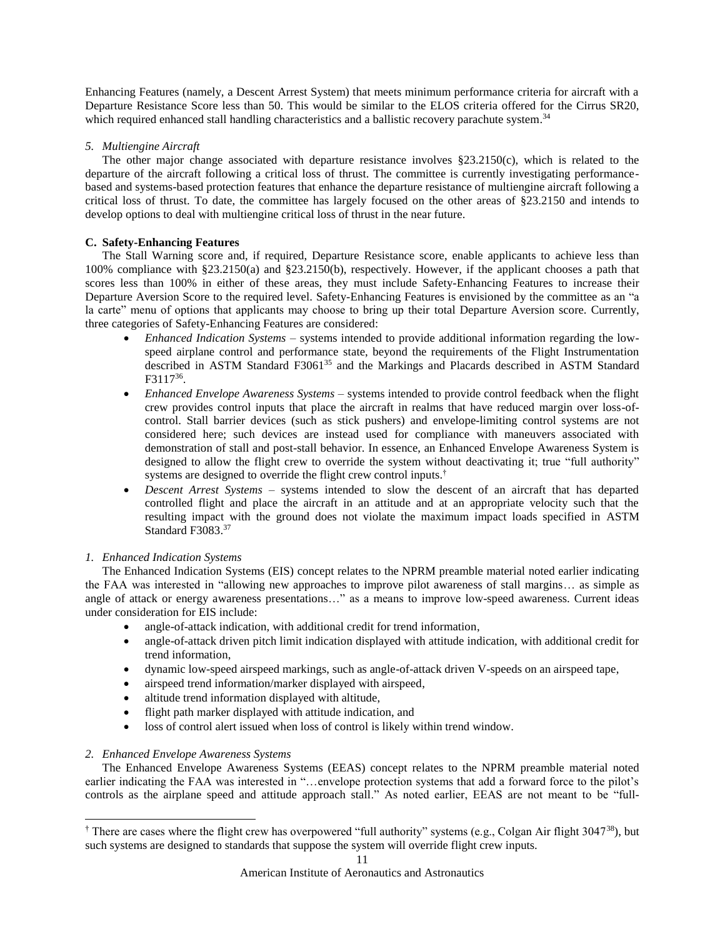Enhancing Features (namely, a Descent Arrest System) that meets minimum performance criteria for aircraft with a Departure Resistance Score less than 50. This would be similar to the ELOS criteria offered for the Cirrus SR20, which required enhanced stall handling characteristics and a ballistic recovery parachute system.<sup>[34](#page-16-8)</sup>

# *5. Multiengine Aircraft*

The other major change associated with departure resistance involves §23.2150(c), which is related to the departure of the aircraft following a critical loss of thrust. The committee is currently investigating performancebased and systems-based protection features that enhance the departure resistance of multiengine aircraft following a critical loss of thrust. To date, the committee has largely focused on the other areas of §23.2150 and intends to develop options to deal with multiengine critical loss of thrust in the near future.

# **C. Safety-Enhancing Features**

The Stall Warning score and, if required, Departure Resistance score, enable applicants to achieve less than 100% compliance with §23.2150(a) and §23.2150(b), respectively. However, if the applicant chooses a path that scores less than 100% in either of these areas, they must include Safety-Enhancing Features to increase their Departure Aversion Score to the required level. Safety-Enhancing Features is envisioned by the committee as an "a la carte" menu of options that applicants may choose to bring up their total Departure Aversion score. Currently, three categories of Safety-Enhancing Features are considered:

- *Enhanced Indication Systems* systems intended to provide additional information regarding the lowspeed airplane control and performance state, beyond the requirements of the Flight Instrumentation described in ASTM Standard F3061<sup>[35](#page-16-9)</sup> and the Markings and Placards described in ASTM Standard F3117[36](#page-16-10) .
- *Enhanced Envelope Awareness Systems* systems intended to provide control feedback when the flight crew provides control inputs that place the aircraft in realms that have reduced margin over loss-ofcontrol. Stall barrier devices (such as stick pushers) and envelope-limiting control systems are not considered here; such devices are instead used for compliance with maneuvers associated with demonstration of stall and post-stall behavior. In essence, an Enhanced Envelope Awareness System is designed to allow the flight crew to override the system without deactivating it; true "full authority" systems are designed to override the flight crew control inputs. †
- *Descent Arrest Systems*  systems intended to slow the descent of an aircraft that has departed controlled flight and place the aircraft in an attitude and at an appropriate velocity such that the resulting impact with the ground does not violate the maximum impact loads specified in ASTM Standard F3083.<sup>[37](#page-16-11)</sup>

# *1. Enhanced Indication Systems*

The Enhanced Indication Systems (EIS) concept relates to the NPRM preamble material noted earlier indicating the FAA was interested in "allowing new approaches to improve pilot awareness of stall margins… as simple as angle of attack or energy awareness presentations…" as a means to improve low-speed awareness. Current ideas under consideration for EIS include:

- angle-of-attack indication, with additional credit for trend information,
- angle-of-attack driven pitch limit indication displayed with attitude indication, with additional credit for trend information,
- dynamic low-speed airspeed markings, such as angle-of-attack driven V-speeds on an airspeed tape,
- airspeed trend information/marker displayed with airspeed,
- altitude trend information displayed with altitude,
- flight path marker displayed with attitude indication, and
- loss of control alert issued when loss of control is likely within trend window.

# *2. Enhanced Envelope Awareness Systems*

 $\overline{a}$ 

The Enhanced Envelope Awareness Systems (EEAS) concept relates to the NPRM preamble material noted earlier indicating the FAA was interested in "…envelope protection systems that add a forward force to the pilot's controls as the airplane speed and attitude approach stall." As noted earlier, EEAS are not meant to be "full-

<sup>†</sup> There are cases where the flight crew has overpowered "full authority" systems (e.g., Colgan Air flight 3047[38](#page-16-12)), but such systems are designed to standards that suppose the system will override flight crew inputs.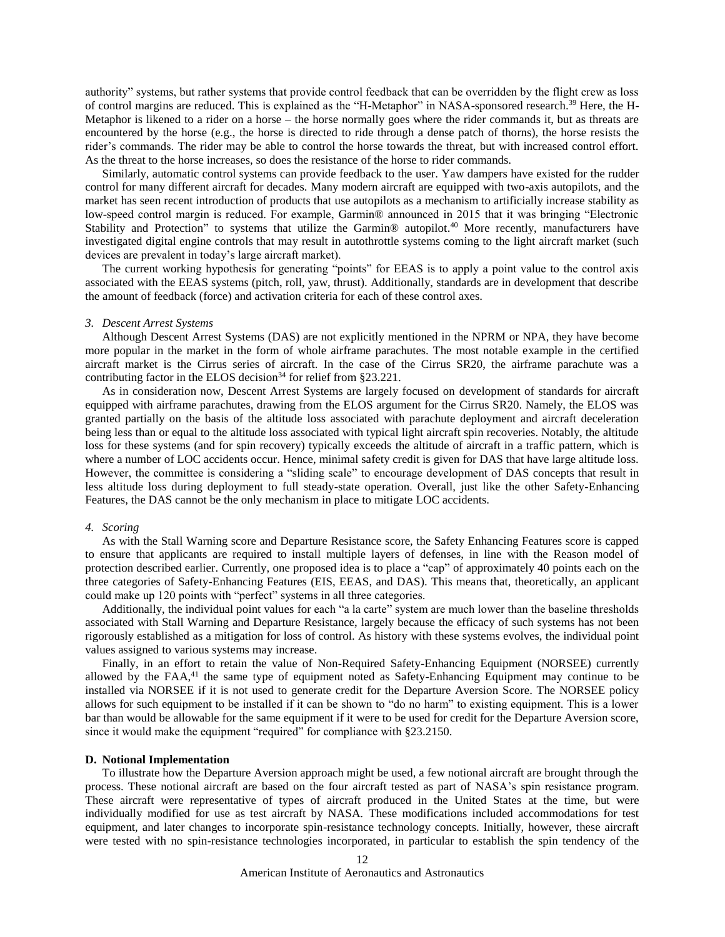authority" systems, but rather systems that provide control feedback that can be overridden by the flight crew as loss of control margins are reduced. This is explained as the "H-Metaphor" in NASA-sponsored research.<sup>[39](#page-16-13)</sup> Here, the H-Metaphor is likened to a rider on a horse – the horse normally goes where the rider commands it, but as threats are encountered by the horse (e.g., the horse is directed to ride through a dense patch of thorns), the horse resists the rider's commands. The rider may be able to control the horse towards the threat, but with increased control effort. As the threat to the horse increases, so does the resistance of the horse to rider commands.

Similarly, automatic control systems can provide feedback to the user. Yaw dampers have existed for the rudder control for many different aircraft for decades. Many modern aircraft are equipped with two-axis autopilots, and the market has seen recent introduction of products that use autopilots as a mechanism to artificially increase stability as low-speed control margin is reduced. For example, Garmin® announced in 2015 that it was bringing "Electronic Stability and Protection" to systems that utilize the Garmin<sup>®</sup> autopilot.<sup>[40](#page-16-14)</sup> More recently, manufacturers have investigated digital engine controls that may result in autothrottle systems coming to the light aircraft market (such devices are prevalent in today's large aircraft market).

The current working hypothesis for generating "points" for EEAS is to apply a point value to the control axis associated with the EEAS systems (pitch, roll, yaw, thrust). Additionally, standards are in development that describe the amount of feedback (force) and activation criteria for each of these control axes.

#### *3. Descent Arrest Systems*

Although Descent Arrest Systems (DAS) are not explicitly mentioned in the NPRM or NPA, they have become more popular in the market in the form of whole airframe parachutes. The most notable example in the certified aircraft market is the Cirrus series of aircraft. In the case of the Cirrus SR20, the airframe parachute was a contributing factor in the ELOS decision<sup>[34](#page-16-8)</sup> for relief from §23.221.

As in consideration now, Descent Arrest Systems are largely focused on development of standards for aircraft equipped with airframe parachutes, drawing from the ELOS argument for the Cirrus SR20. Namely, the ELOS was granted partially on the basis of the altitude loss associated with parachute deployment and aircraft deceleration being less than or equal to the altitude loss associated with typical light aircraft spin recoveries. Notably, the altitude loss for these systems (and for spin recovery) typically exceeds the altitude of aircraft in a traffic pattern, which is where a number of LOC accidents occur. Hence, minimal safety credit is given for DAS that have large altitude loss. However, the committee is considering a "sliding scale" to encourage development of DAS concepts that result in less altitude loss during deployment to full steady-state operation. Overall, just like the other Safety-Enhancing Features, the DAS cannot be the only mechanism in place to mitigate LOC accidents.

#### *4. Scoring*

As with the Stall Warning score and Departure Resistance score, the Safety Enhancing Features score is capped to ensure that applicants are required to install multiple layers of defenses, in line with the Reason model of protection described earlier. Currently, one proposed idea is to place a "cap" of approximately 40 points each on the three categories of Safety-Enhancing Features (EIS, EEAS, and DAS). This means that, theoretically, an applicant could make up 120 points with "perfect" systems in all three categories.

Additionally, the individual point values for each "a la carte" system are much lower than the baseline thresholds associated with Stall Warning and Departure Resistance, largely because the efficacy of such systems has not been rigorously established as a mitigation for loss of control. As history with these systems evolves, the individual point values assigned to various systems may increase.

Finally, in an effort to retain the value of Non-Required Safety-Enhancing Equipment (NORSEE) currently allowed by the  $FAA<sub>1</sub><sup>41</sup>$  $FAA<sub>1</sub><sup>41</sup>$  $FAA<sub>1</sub><sup>41</sup>$  the same type of equipment noted as Safety-Enhancing Equipment may continue to be installed via NORSEE if it is not used to generate credit for the Departure Aversion Score. The NORSEE policy allows for such equipment to be installed if it can be shown to "do no harm" to existing equipment. This is a lower bar than would be allowable for the same equipment if it were to be used for credit for the Departure Aversion score, since it would make the equipment "required" for compliance with §23.2150.

#### **D. Notional Implementation**

To illustrate how the Departure Aversion approach might be used, a few notional aircraft are brought through the process. These notional aircraft are based on the four aircraft tested as part of NASA's spin resistance program. These aircraft were representative of types of aircraft produced in the United States at the time, but were individually modified for use as test aircraft by NASA. These modifications included accommodations for test equipment, and later changes to incorporate spin-resistance technology concepts. Initially, however, these aircraft were tested with no spin-resistance technologies incorporated, in particular to establish the spin tendency of the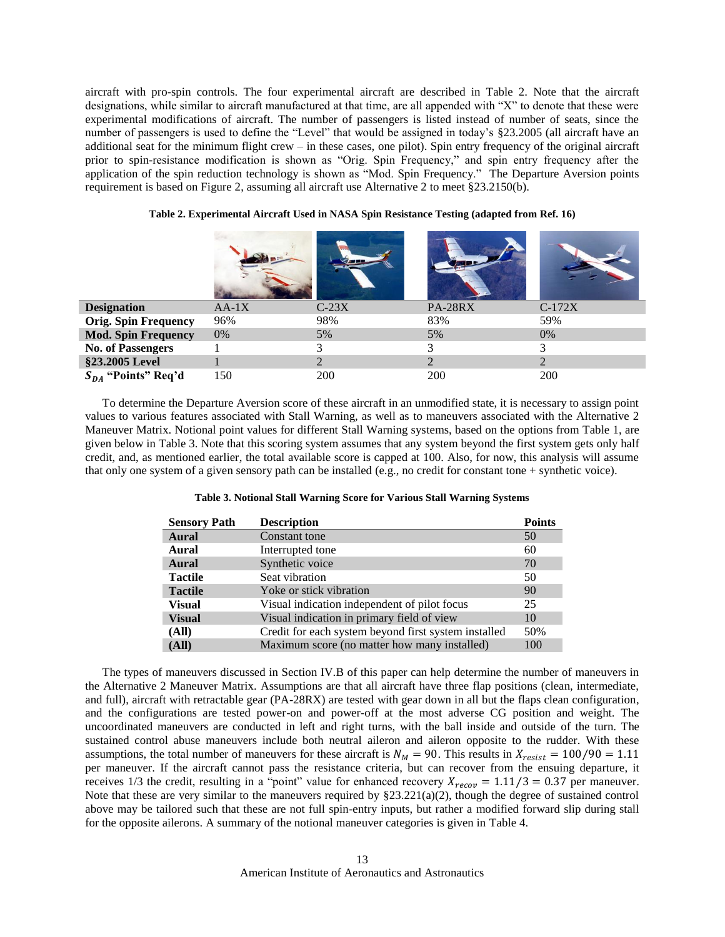aircraft with pro-spin controls. The four experimental aircraft are described in [Table 2.](#page-12-0) Note that the aircraft designations, while similar to aircraft manufactured at that time, are all appended with "X" to denote that these were experimental modifications of aircraft. The number of passengers is listed instead of number of seats, since the number of passengers is used to define the "Level" that would be assigned in today's §23.2005 (all aircraft have an additional seat for the minimum flight crew – in these cases, one pilot). Spin entry frequency of the original aircraft prior to spin-resistance modification is shown as "Orig. Spin Frequency," and spin entry frequency after the application of the spin reduction technology is shown as "Mod. Spin Frequency." The Departure Aversion points requirement is based on [Figure 2,](#page-6-0) assuming all aircraft use Alternative 2 to meet §23.2150(b).

<span id="page-12-0"></span>

| <b>Designation</b>          | $AA-1X$ | $C-23X$ | <b>PA-28RX</b> | $C-172X$ |
|-----------------------------|---------|---------|----------------|----------|
| <b>Orig. Spin Frequency</b> | 96%     | 98%     | 83%            | 59%      |
| <b>Mod. Spin Frequency</b>  | 0%      | 5%      | 5%             | $0\%$    |
| <b>No. of Passengers</b>    |         |         | 3              |          |
| §23.2005 Level              |         |         |                |          |
| $S_{DA}$ "Points" Req'd     | 150     | 200     | 200            | 200      |

**Table 2. Experimental Aircraft Used in NASA Spin Resistance Testing (adapted from Ref. [16\)](#page-15-15)**

To determine the Departure Aversion score of these aircraft in an unmodified state, it is necessary to assign point values to various features associated with Stall Warning, as well as to maneuvers associated with the Alternative 2 Maneuver Matrix. Notional point values for different Stall Warning systems, based on the options from [Table 1,](#page-7-0) are given below in [Table 3.](#page-12-1) Note that this scoring system assumes that any system beyond the first system gets only half credit, and, as mentioned earlier, the total available score is capped at 100. Also, for now, this analysis will assume that only one system of a given sensory path can be installed (e.g., no credit for constant tone + synthetic voice).

<span id="page-12-1"></span>

| <b>Sensory Path</b> | <b>Description</b>                                   | <b>Points</b> |
|---------------------|------------------------------------------------------|---------------|
| Aural               | Constant tone                                        | 50            |
| Aural               | Interrupted tone                                     | 60            |
| Aural               | Synthetic voice                                      | 70            |
| <b>Tactile</b>      | Seat vibration                                       | 50            |
| <b>Tactile</b>      | Yoke or stick vibration                              | 90            |
| <b>Visual</b>       | Visual indication independent of pilot focus         | 25            |
| <b>Visual</b>       | Visual indication in primary field of view           | 10            |
| (All)               | Credit for each system beyond first system installed | 50%           |
| (All)               | Maximum score (no matter how many installed)         | 100           |

The types of maneuvers discussed in Section IV.B of this paper can help determine the number of maneuvers in the Alternative 2 Maneuver Matrix. Assumptions are that all aircraft have three flap positions (clean, intermediate, and full), aircraft with retractable gear (PA-28RX) are tested with gear down in all but the flaps clean configuration, and the configurations are tested power-on and power-off at the most adverse CG position and weight. The uncoordinated maneuvers are conducted in left and right turns, with the ball inside and outside of the turn. The sustained control abuse maneuvers include both neutral aileron and aileron opposite to the rudder. With these assumptions, the total number of maneuvers for these aircraft is  $N_M = 90$ . This results in  $X_{resist} = 100/90 = 1.11$ per maneuver. If the aircraft cannot pass the resistance criteria, but can recover from the ensuing departure, it receives 1/3 the credit, resulting in a "point" value for enhanced recovery  $X_{recov} = 1.11/3 = 0.37$  per maneuver. Note that these are very similar to the maneuvers required by  $\S 23.221(a)(2)$ , though the degree of sustained control above may be tailored such that these are not full spin-entry inputs, but rather a modified forward slip during stall for the opposite ailerons. A summary of the notional maneuver categories is given in [Table 4.](#page-13-0)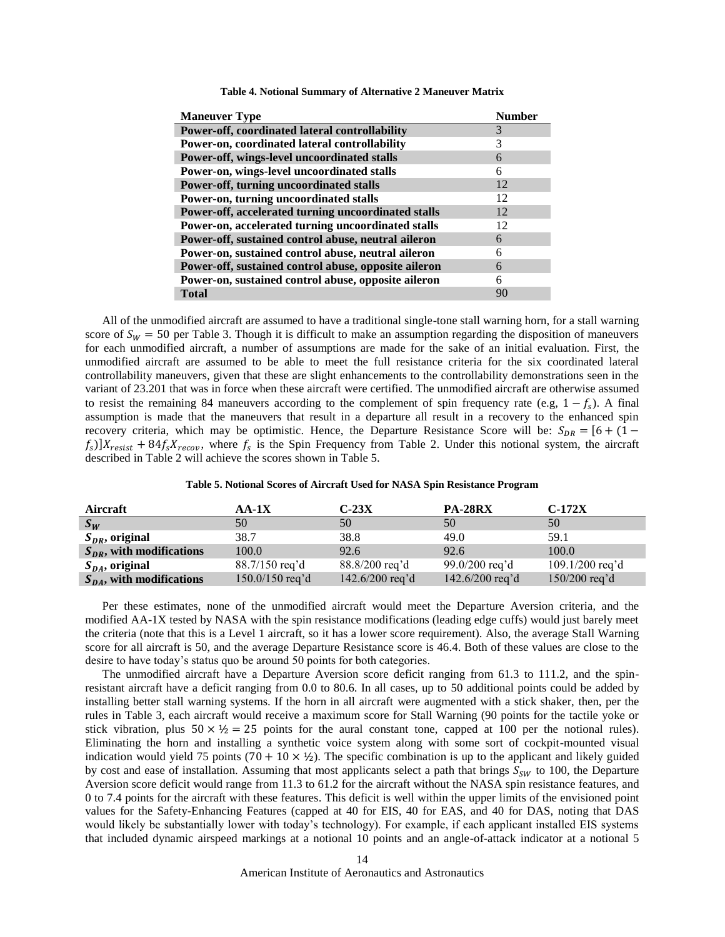<span id="page-13-0"></span>

| <b>Maneuver Type</b>                                 | Number |
|------------------------------------------------------|--------|
| Power-off, coordinated lateral controllability       | 3      |
| Power-on, coordinated lateral controllability        | 3      |
| Power-off, wings-level uncoordinated stalls          | 6      |
| Power-on, wings-level uncoordinated stalls           | 6      |
| Power-off, turning uncoordinated stalls              | 12     |
| Power-on, turning uncoordinated stalls               | 12     |
| Power-off, accelerated turning uncoordinated stalls  | 12     |
| Power-on, accelerated turning uncoordinated stalls   | 12     |
| Power-off, sustained control abuse, neutral aileron  | 6      |
| Power-on, sustained control abuse, neutral aileron   | 6      |
| Power-off, sustained control abuse, opposite aileron | 6      |
| Power-on, sustained control abuse, opposite aileron  | 6      |
| <b>Total</b>                                         | 90     |
|                                                      |        |

**Table 4. Notional Summary of Alternative 2 Maneuver Matrix**

All of the unmodified aircraft are assumed to have a traditional single-tone stall warning horn, for a stall warning score of  $S_W = 50$  per [Table 3.](#page-12-1) Though it is difficult to make an assumption regarding the disposition of maneuvers for each unmodified aircraft, a number of assumptions are made for the sake of an initial evaluation. First, the unmodified aircraft are assumed to be able to meet the full resistance criteria for the six coordinated lateral controllability maneuvers, given that these are slight enhancements to the controllability demonstrations seen in the variant of 23.201 that was in force when these aircraft were certified. The unmodified aircraft are otherwise assumed to resist the remaining 84 maneuvers according to the complement of spin frequency rate (e.g,  $1 - f_s$ ). A final assumption is made that the maneuvers that result in a departure all result in a recovery to the enhanced spin recovery criteria, which may be optimistic. Hence, the Departure Resistance Score will be:  $S_{DR} = [6 + (1$  $f_s$ )] $X_{resist}$  + 84 $f_sX_{recov}$ , where  $f_s$  is the Spin Frequency from [Table 2.](#page-12-0) Under this notional system, the aircraft described in [Table 2](#page-12-0) will achieve the scores shown in [Table 5.](#page-13-1)

| Table 5. Notional Scores of Aircraft Used for NASA Spin Resistance Program |  |  |  |  |  |
|----------------------------------------------------------------------------|--|--|--|--|--|
|----------------------------------------------------------------------------|--|--|--|--|--|

<span id="page-13-1"></span>

| Aircraft                      | $AA-1X$           | $C-23X$         | <b>PA-28RX</b>             | $C-172X$          |
|-------------------------------|-------------------|-----------------|----------------------------|-------------------|
| $S_W$                         | 50                | 50              | 50                         | 50                |
| $S_{DR}$ , original           | 38.7              | 38.8            | 49.0                       | 59.1              |
| $S_{DR}$ , with modifications | 100.0             | 92.6            | 92.6                       | 100.0             |
| $S_{DA}$ , original           | 88.7/150 req'd    | 88.8/200 req'd  | 99.0/200 req'd             | $109.1/200$ req'd |
| $S_{DA}$ , with modifications | $150.0/150$ req'd | 142.6/200 req'd | $142.6/200 \text{ reg'} d$ | $150/200$ req'd   |

Per these estimates, none of the unmodified aircraft would meet the Departure Aversion criteria, and the modified AA-1X tested by NASA with the spin resistance modifications (leading edge cuffs) would just barely meet the criteria (note that this is a Level 1 aircraft, so it has a lower score requirement). Also, the average Stall Warning score for all aircraft is 50, and the average Departure Resistance score is 46.4. Both of these values are close to the desire to have today's status quo be around 50 points for both categories.

The unmodified aircraft have a Departure Aversion score deficit ranging from 61.3 to 111.2, and the spinresistant aircraft have a deficit ranging from 0.0 to 80.6. In all cases, up to 50 additional points could be added by installing better stall warning systems. If the horn in all aircraft were augmented with a stick shaker, then, per the rules in [Table 3,](#page-12-1) each aircraft would receive a maximum score for Stall Warning (90 points for the tactile yoke or stick vibration, plus  $50 \times \frac{1}{2} = 25$  points for the aural constant tone, capped at 100 per the notional rules). Eliminating the horn and installing a synthetic voice system along with some sort of cockpit-mounted visual indication would yield 75 points (70 + 10  $\times$  ½). The specific combination is up to the applicant and likely guided by cost and ease of installation. Assuming that most applicants select a path that brings  $S_{SW}$  to 100, the Departure Aversion score deficit would range from 11.3 to 61.2 for the aircraft without the NASA spin resistance features, and 0 to 7.4 points for the aircraft with these features. This deficit is well within the upper limits of the envisioned point values for the Safety-Enhancing Features (capped at 40 for EIS, 40 for EAS, and 40 for DAS, noting that DAS would likely be substantially lower with today's technology). For example, if each applicant installed EIS systems that included dynamic airspeed markings at a notional 10 points and an angle-of-attack indicator at a notional 5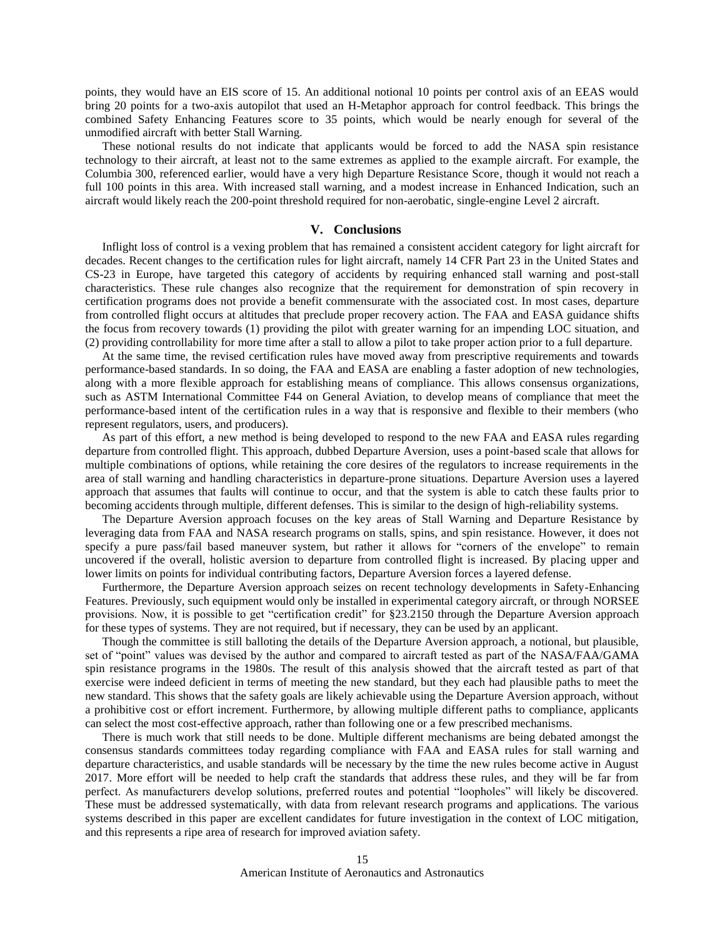points, they would have an EIS score of 15. An additional notional 10 points per control axis of an EEAS would bring 20 points for a two-axis autopilot that used an H-Metaphor approach for control feedback. This brings the combined Safety Enhancing Features score to 35 points, which would be nearly enough for several of the unmodified aircraft with better Stall Warning.

These notional results do not indicate that applicants would be forced to add the NASA spin resistance technology to their aircraft, at least not to the same extremes as applied to the example aircraft. For example, the Columbia 300, referenced earlier, would have a very high Departure Resistance Score, though it would not reach a full 100 points in this area. With increased stall warning, and a modest increase in Enhanced Indication, such an aircraft would likely reach the 200-point threshold required for non-aerobatic, single-engine Level 2 aircraft.

## **V. Conclusions**

Inflight loss of control is a vexing problem that has remained a consistent accident category for light aircraft for decades. Recent changes to the certification rules for light aircraft, namely 14 CFR Part 23 in the United States and CS-23 in Europe, have targeted this category of accidents by requiring enhanced stall warning and post-stall characteristics. These rule changes also recognize that the requirement for demonstration of spin recovery in certification programs does not provide a benefit commensurate with the associated cost. In most cases, departure from controlled flight occurs at altitudes that preclude proper recovery action. The FAA and EASA guidance shifts the focus from recovery towards (1) providing the pilot with greater warning for an impending LOC situation, and (2) providing controllability for more time after a stall to allow a pilot to take proper action prior to a full departure.

At the same time, the revised certification rules have moved away from prescriptive requirements and towards performance-based standards. In so doing, the FAA and EASA are enabling a faster adoption of new technologies, along with a more flexible approach for establishing means of compliance. This allows consensus organizations, such as ASTM International Committee F44 on General Aviation, to develop means of compliance that meet the performance-based intent of the certification rules in a way that is responsive and flexible to their members (who represent regulators, users, and producers).

As part of this effort, a new method is being developed to respond to the new FAA and EASA rules regarding departure from controlled flight. This approach, dubbed Departure Aversion, uses a point-based scale that allows for multiple combinations of options, while retaining the core desires of the regulators to increase requirements in the area of stall warning and handling characteristics in departure-prone situations. Departure Aversion uses a layered approach that assumes that faults will continue to occur, and that the system is able to catch these faults prior to becoming accidents through multiple, different defenses. This is similar to the design of high-reliability systems.

The Departure Aversion approach focuses on the key areas of Stall Warning and Departure Resistance by leveraging data from FAA and NASA research programs on stalls, spins, and spin resistance. However, it does not specify a pure pass/fail based maneuver system, but rather it allows for "corners of the envelope" to remain uncovered if the overall, holistic aversion to departure from controlled flight is increased. By placing upper and lower limits on points for individual contributing factors, Departure Aversion forces a layered defense.

Furthermore, the Departure Aversion approach seizes on recent technology developments in Safety-Enhancing Features. Previously, such equipment would only be installed in experimental category aircraft, or through NORSEE provisions. Now, it is possible to get "certification credit" for §23.2150 through the Departure Aversion approach for these types of systems. They are not required, but if necessary, they can be used by an applicant.

Though the committee is still balloting the details of the Departure Aversion approach, a notional, but plausible, set of "point" values was devised by the author and compared to aircraft tested as part of the NASA/FAA/GAMA spin resistance programs in the 1980s. The result of this analysis showed that the aircraft tested as part of that exercise were indeed deficient in terms of meeting the new standard, but they each had plausible paths to meet the new standard. This shows that the safety goals are likely achievable using the Departure Aversion approach, without a prohibitive cost or effort increment. Furthermore, by allowing multiple different paths to compliance, applicants can select the most cost-effective approach, rather than following one or a few prescribed mechanisms.

There is much work that still needs to be done. Multiple different mechanisms are being debated amongst the consensus standards committees today regarding compliance with FAA and EASA rules for stall warning and departure characteristics, and usable standards will be necessary by the time the new rules become active in August 2017. More effort will be needed to help craft the standards that address these rules, and they will be far from perfect. As manufacturers develop solutions, preferred routes and potential "loopholes" will likely be discovered. These must be addressed systematically, with data from relevant research programs and applications. The various systems described in this paper are excellent candidates for future investigation in the context of LOC mitigation, and this represents a ripe area of research for improved aviation safety.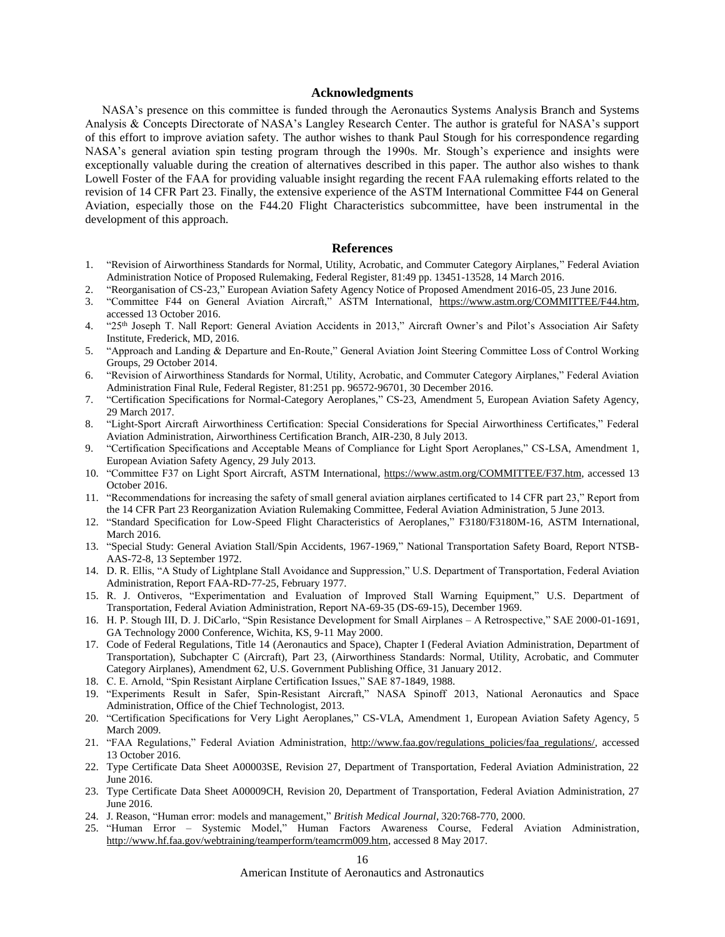## **Acknowledgments**

NASA's presence on this committee is funded through the Aeronautics Systems Analysis Branch and Systems Analysis & Concepts Directorate of NASA's Langley Research Center. The author is grateful for NASA's support of this effort to improve aviation safety. The author wishes to thank Paul Stough for his correspondence regarding NASA's general aviation spin testing program through the 1990s. Mr. Stough's experience and insights were exceptionally valuable during the creation of alternatives described in this paper. The author also wishes to thank Lowell Foster of the FAA for providing valuable insight regarding the recent FAA rulemaking efforts related to the revision of 14 CFR Part 23. Finally, the extensive experience of the ASTM International Committee F44 on General Aviation, especially those on the F44.20 Flight Characteristics subcommittee, have been instrumental in the development of this approach.

#### <span id="page-15-4"></span>**References**

- <span id="page-15-0"></span>1. "Revision of Airworthiness Standards for Normal, Utility, Acrobatic, and Commuter Category Airplanes," Federal Aviation Administration Notice of Proposed Rulemaking, Federal Register, 81:49 pp. 13451-13528, 14 March 2016.
- <span id="page-15-1"></span>2. "Reorganisation of CS-23," European Aviation Safety Agency Notice of Proposed Amendment 2016-05, 23 June 2016.
- <span id="page-15-2"></span>3. "Committee F44 on General Aviation Aircraft," ASTM International, [https://www.astm.org/COMMITTEE/F44.htm,](https://www.astm.org/COMMITTEE/F44.htm) accessed 13 October 2016.
- <span id="page-15-3"></span>4. "25th Joseph T. Nall Report: General Aviation Accidents in 2013," Aircraft Owner's and Pilot's Association Air Safety Institute, Frederick, MD, 2016.
- <span id="page-15-23"></span>5. "Approach and Landing & Departure and En-Route," General Aviation Joint Steering Committee Loss of Control Working Groups, 29 October 2014.
- <span id="page-15-5"></span>6. "Revision of Airworthiness Standards for Normal, Utility, Acrobatic, and Commuter Category Airplanes," Federal Aviation Administration Final Rule, Federal Register, 81:251 pp. 96572-96701, 30 December 2016.
- <span id="page-15-6"></span>7. "Certification Specifications for Normal-Category Aeroplanes," CS-23, Amendment 5, European Aviation Safety Agency, 29 March 2017.
- <span id="page-15-7"></span>8. "Light-Sport Aircraft Airworthiness Certification: Special Considerations for Special Airworthiness Certificates," Federal Aviation Administration, Airworthiness Certification Branch, AIR-230, 8 July 2013.
- <span id="page-15-8"></span>9. "Certification Specifications and Acceptable Means of Compliance for Light Sport Aeroplanes," CS-LSA, Amendment 1, European Aviation Safety Agency, 29 July 2013.
- <span id="page-15-9"></span>10. "Committee F37 on Light Sport Aircraft, ASTM International, [https://www.astm.org/COMMITTEE/F37.htm,](https://www.astm.org/COMMITTEE/F37.htm) accessed 13 October 2016.
- <span id="page-15-10"></span>11. "Recommendations for increasing the safety of small general aviation airplanes certificated to 14 CFR part 23," Report from the 14 CFR Part 23 Reorganization Aviation Rulemaking Committee, Federal Aviation Administration, 5 June 2013.
- <span id="page-15-11"></span>12. "Standard Specification for Low-Speed Flight Characteristics of Aeroplanes," F3180/F3180M-16, ASTM International, March 2016.
- <span id="page-15-12"></span>13. "Special Study: General Aviation Stall/Spin Accidents, 1967-1969," National Transportation Safety Board, Report NTSB-AAS-72-8, 13 September 1972.
- <span id="page-15-13"></span>14. D. R. Ellis, "A Study of Lightplane Stall Avoidance and Suppression," U.S. Department of Transportation, Federal Aviation Administration, Report FAA-RD-77-25, February 1977.
- <span id="page-15-14"></span>15. R. J. Ontiveros, "Experimentation and Evaluation of Improved Stall Warning Equipment," U.S. Department of Transportation, Federal Aviation Administration, Report NA-69-35 (DS-69-15), December 1969.
- <span id="page-15-15"></span>16. H. P. Stough III, D. J. DiCarlo, "Spin Resistance Development for Small Airplanes – A Retrospective," SAE 2000-01-1691, GA Technology 2000 Conference, Wichita, KS, 9-11 May 2000.
- <span id="page-15-16"></span>17. Code of Federal Regulations, Title 14 (Aeronautics and Space), Chapter I (Federal Aviation Administration, Department of Transportation), Subchapter C (Aircraft), Part 23, (Airworthiness Standards: Normal, Utility, Acrobatic, and Commuter Category Airplanes), Amendment 62, U.S. Government Publishing Office, 31 January 2012.
- <span id="page-15-17"></span>18. C. E. Arnold, "Spin Resistant Airplane Certification Issues," SAE 87-1849, 1988.
- <span id="page-15-18"></span>19. "Experiments Result in Safer, Spin-Resistant Aircraft," NASA Spinoff 2013, National Aeronautics and Space Administration, Office of the Chief Technologist, 2013.
- <span id="page-15-19"></span>20. "Certification Specifications for Very Light Aeroplanes," CS-VLA, Amendment 1, European Aviation Safety Agency, 5 March 2009.
- <span id="page-15-20"></span>21. "FAA Regulations," Federal Aviation Administration, [http://www.faa.gov/regulations\\_policies/faa\\_regulations/,](http://www.faa.gov/regulations_policies/faa_regulations/) accessed 13 October 2016.
- <span id="page-15-21"></span>22. Type Certificate Data Sheet A00003SE, Revision 27, Department of Transportation, Federal Aviation Administration, 22 June 2016.
- <span id="page-15-22"></span>23. Type Certificate Data Sheet A00009CH, Revision 20, Department of Transportation, Federal Aviation Administration, 27 June 2016.
- <span id="page-15-24"></span>24. J. Reason, "Human error: models and management," *British Medical Journal*, 320:768-770, 2000.
- <span id="page-15-25"></span>25. "Human Error – Systemic Model," Human Factors Awareness Course, Federal Aviation Administration, [http://www.hf.faa.gov/webtraining/teamperform/teamcrm009.htm,](http://www.hf.faa.gov/webtraining/teamperform/teamcrm009.htm) accessed 8 May 2017.

American Institute of Aeronautics and Astronautics